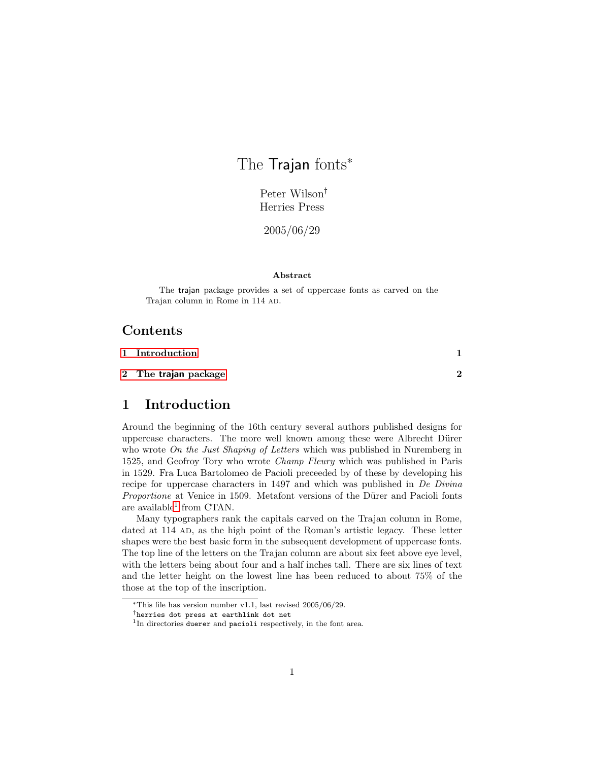# The Trajan fonts<sup>\*</sup>

Peter Wilson† Herries Press

2005/06/29

#### Abstract

The trajan package provides a set of uppercase fonts as carved on the Trajan column in Rome in 114 AD.

### Contents

| 1 Introduction       |   |
|----------------------|---|
| 2 The trajan package | 2 |

## <span id="page-0-0"></span>1 Introduction

Around the beginning of the 16th century several authors published designs for uppercase characters. The more well known among these were Albrecht Dürer who wrote *On the Just Shaping of Letters* which was published in Nuremberg in 1525, and Geofroy Tory who wrote Champ Fleury which was published in Paris in 1529. Fra Luca Bartolomeo de Pacioli preceeded by of these by developing his recipe for uppercase characters in 1497 and which was published in De Divina Proportione at Venice in 1509. Metafont versions of the Dürer and Pacioli fonts are available<sup>[1](#page-0-1)</sup> from CTAN.

Many typographers rank the capitals carved on the Trajan column in Rome, dated at 114 AD, as the high point of the Roman's artistic legacy. These letter shapes were the best basic form in the subsequent development of uppercase fonts. The top line of the letters on the Trajan column are about six feet above eye level, with the letters being about four and a half inches tall. There are six lines of text and the letter height on the lowest line has been reduced to about 75% of the those at the top of the inscription.

<sup>∗</sup>This file has version number v1.1, last revised 2005/06/29.

<sup>†</sup>herries dot press at earthlink dot net

<span id="page-0-1"></span><sup>&</sup>lt;sup>1</sup>In directories duerer and pacioli respectively, in the font area.